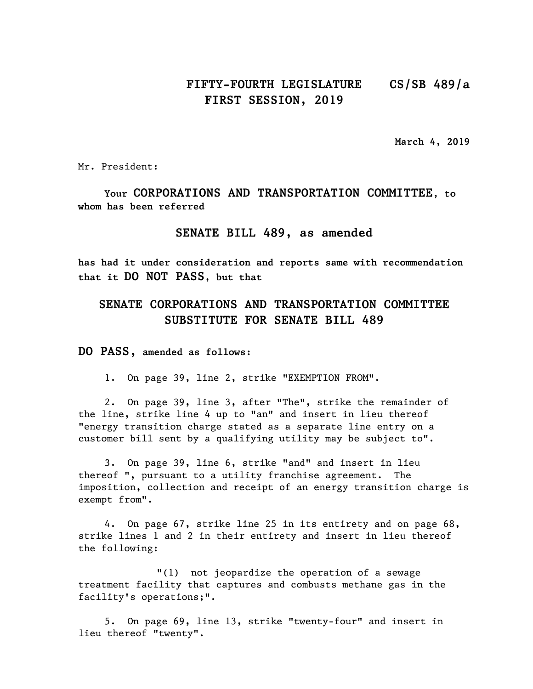## **FIFTY-FOURTH LEGISLATURE CS/SB 489/a FIRST SESSION, 2019**

**March 4, 2019**

Mr. President:

**Your CORPORATIONS AND TRANSPORTATION COMMITTEE, to whom has been referred**

## **SENATE BILL 489, as amended**

**has had it under consideration and reports same with recommendation that it DO NOT PASS, but that**

## **SENATE CORPORATIONS AND TRANSPORTATION COMMITTEE SUBSTITUTE FOR SENATE BILL 489**

**DO PASS, amended as follows:**

1. On page 39, line 2, strike "EXEMPTION FROM".

2. On page 39, line 3, after "The", strike the remainder of the line, strike line 4 up to "an" and insert in lieu thereof "energy transition charge stated as a separate line entry on a customer bill sent by a qualifying utility may be subject to".

3. On page 39, line 6, strike "and" and insert in lieu thereof ", pursuant to a utility franchise agreement. The imposition, collection and receipt of an energy transition charge is exempt from".

4. On page 67, strike line 25 in its entirety and on page 68, strike lines 1 and 2 in their entirety and insert in lieu thereof the following:

"(1) not jeopardize the operation of a sewage treatment facility that captures and combusts methane gas in the facility's operations;".

5. On page 69, line 13, strike "twenty-four" and insert in lieu thereof "twenty".